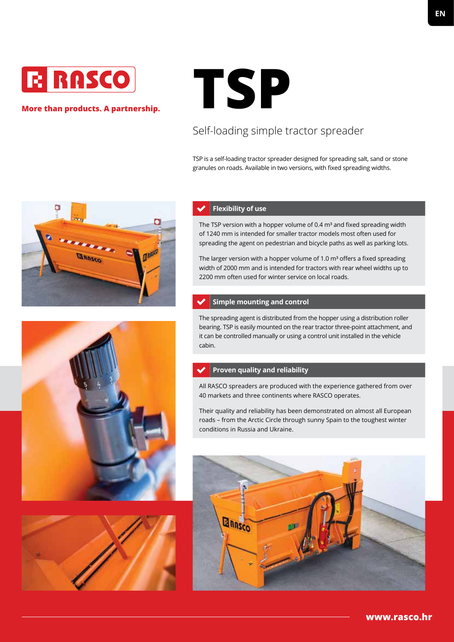

# **More than products. A partnership.**

# **TSP**

# Self-loading simple tractor spreader

TSP is a self-loading tractor spreader designed for spreading salt, sand or stone granules on roads. Available in two versions, with fixed spreading widths.





# **Flexibility of use**

The TSP version with a hopper volume of 0.4  $m<sup>3</sup>$  and fixed spreading width of 1240 mm is intended for smaller tractor models most often used for spreading the agent on pedestrian and bicycle paths as well as parking lots.

The larger version with a hopper volume of 1.0  $m<sup>3</sup>$  offers a fixed spreading width of 2000 mm and is intended for tractors with rear wheel widths up to 2200 mm often used for winter service on local roads.

## **Simple mounting and control**

The spreading agent is distributed from the hopper using a distribution roller bearing. TSP is easily mounted on the rear tractor three-point attachment, and it can be controlled manually or using a control unit installed in the vehicle cabin.

# **Proven quality and reliability**

All RASCO spreaders are produced with the experience gathered from over 40 markets and three continents where RASCO operates.

Their quality and reliability has been demonstrated on almost all European roads – from the Arctic Circle through sunny Spain to the toughest winter conditions in Russia and Ukraine.